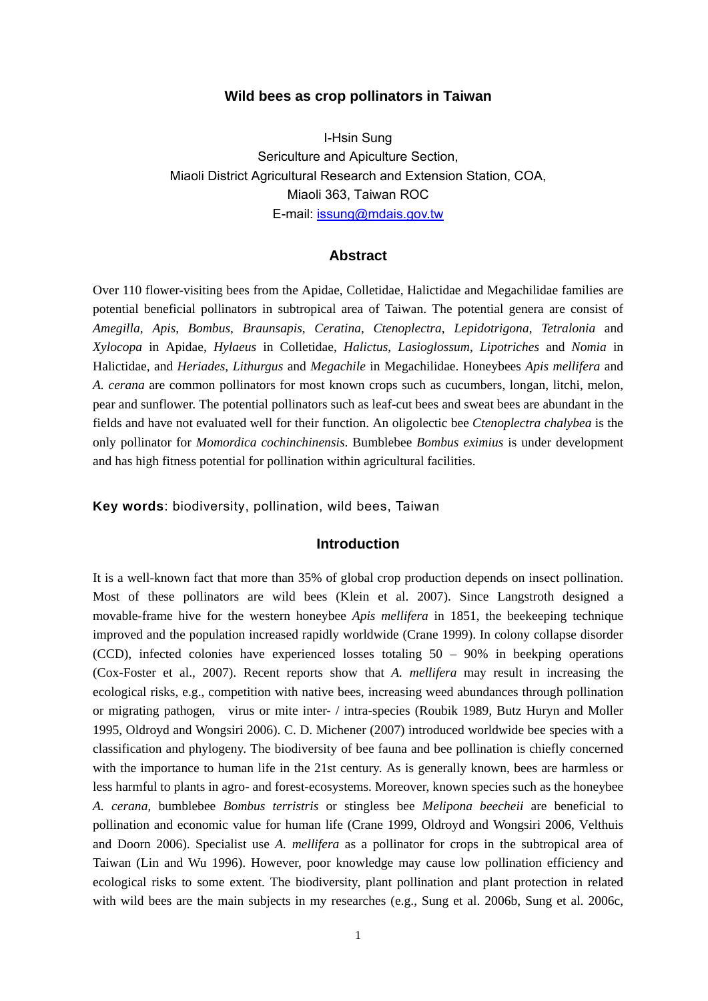### **Wild bees as crop pollinators in Taiwan**

I-Hsin Sung Sericulture and Apiculture Section, Miaoli District Agricultural Research and Extension Station, COA, Miaoli 363, Taiwan ROC E-mail: issung@mdais.gov.tw

# **Abstract**

Over 110 flower-visiting bees from the Apidae, Colletidae, Halictidae and Megachilidae families are potential beneficial pollinators in subtropical area of Taiwan. The potential genera are consist of *Amegilla*, *Apis*, *Bombus*, *Braunsapis*, *Ceratina*, *Ctenoplectra*, *Lepidotrigona*, *Tetralonia* and *Xylocopa* in Apidae, *Hylaeus* in Colletidae, *Halictus*, *Lasioglossum*, *Lipotriches* and *Nomia* in Halictidae, and *Heriades*, *Lithurgus* and *Megachile* in Megachilidae. Honeybees *Apis mellifera* and *A. cerana* are common pollinators for most known crops such as cucumbers, longan, litchi, melon, pear and sunflower. The potential pollinators such as leaf-cut bees and sweat bees are abundant in the fields and have not evaluated well for their function. An oligolectic bee *Ctenoplectra chalybea* is the only pollinator for *Momordica cochinchinensis*. Bumblebee *Bombus eximius* is under development and has high fitness potential for pollination within agricultural facilities.

**Key words**: biodiversity, pollination, wild bees, Taiwan

# **Introduction**

It is a well-known fact that more than 35% of global crop production depends on insect pollination. Most of these pollinators are wild bees (Klein et al. 2007). Since Langstroth designed a movable-frame hive for the western honeybee *Apis mellifera* in 1851, the beekeeping technique improved and the population increased rapidly worldwide (Crane 1999). In colony collapse disorder (CCD), infected colonies have experienced losses totaling 50 – 90% in beekping operations (Cox-Foster et al., 2007). Recent reports show that *A. mellifera* may result in increasing the ecological risks, e.g., competition with native bees, increasing weed abundances through pollination or migrating pathogen, virus or mite inter- / intra-species (Roubik 1989, Butz Huryn and Moller 1995, Oldroyd and Wongsiri 2006). C. D. Michener (2007) introduced worldwide bee species with a classification and phylogeny. The biodiversity of bee fauna and bee pollination is chiefly concerned with the importance to human life in the 21st century. As is generally known, bees are harmless or less harmful to plants in agro- and forest-ecosystems. Moreover, known species such as the honeybee *A. cerana*, bumblebee *Bombus terristris* or stingless bee *Melipona beecheii* are beneficial to pollination and economic value for human life (Crane 1999, Oldroyd and Wongsiri 2006, Velthuis and Doorn 2006). Specialist use *A. mellifera* as a pollinator for crops in the subtropical area of Taiwan (Lin and Wu 1996). However, poor knowledge may cause low pollination efficiency and ecological risks to some extent. The biodiversity, plant pollination and plant protection in related with wild bees are the main subjects in my researches (e.g., Sung et al. 2006b, Sung et al. 2006c,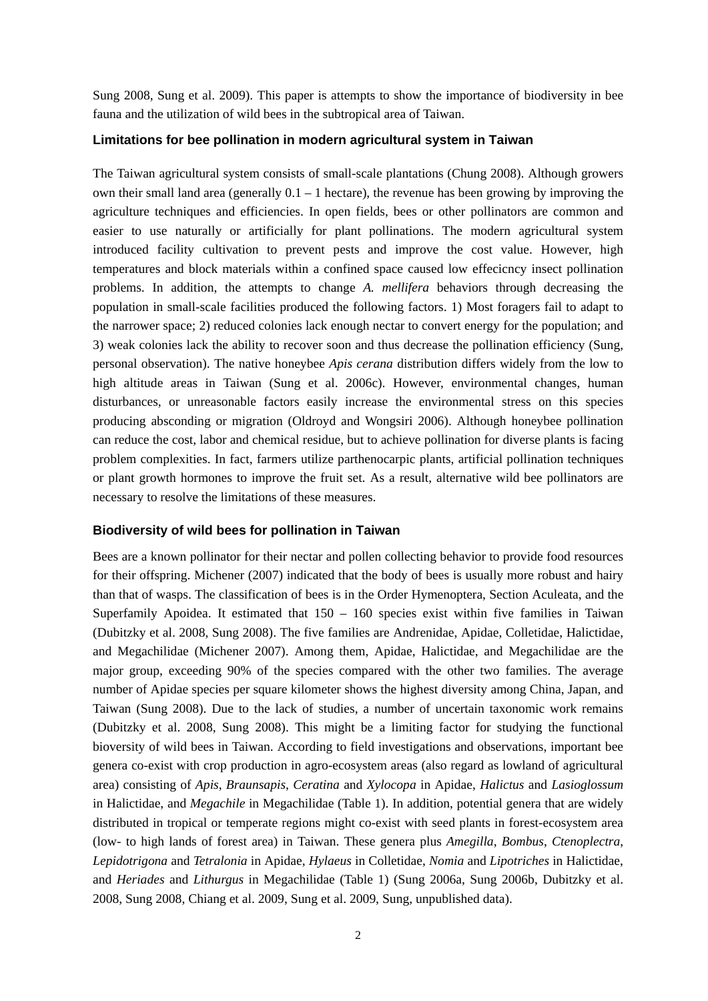Sung 2008, Sung et al. 2009). This paper is attempts to show the importance of biodiversity in bee fauna and the utilization of wild bees in the subtropical area of Taiwan.

# **Limitations for bee pollination in modern agricultural system in Taiwan**

The Taiwan agricultural system consists of small-scale plantations (Chung 2008). Although growers own their small land area (generally  $0.1 - 1$  hectare), the revenue has been growing by improving the agriculture techniques and efficiencies. In open fields, bees or other pollinators are common and easier to use naturally or artificially for plant pollinations. The modern agricultural system introduced facility cultivation to prevent pests and improve the cost value. However, high temperatures and block materials within a confined space caused low effecicncy insect pollination problems. In addition, the attempts to change *A. mellifera* behaviors through decreasing the population in small-scale facilities produced the following factors. 1) Most foragers fail to adapt to the narrower space; 2) reduced colonies lack enough nectar to convert energy for the population; and 3) weak colonies lack the ability to recover soon and thus decrease the pollination efficiency (Sung, personal observation). The native honeybee *Apis cerana* distribution differs widely from the low to high altitude areas in Taiwan (Sung et al. 2006c). However, environmental changes, human disturbances, or unreasonable factors easily increase the environmental stress on this species producing absconding or migration (Oldroyd and Wongsiri 2006). Although honeybee pollination can reduce the cost, labor and chemical residue, but to achieve pollination for diverse plants is facing problem complexities. In fact, farmers utilize parthenocarpic plants, artificial pollination techniques or plant growth hormones to improve the fruit set. As a result, alternative wild bee pollinators are necessary to resolve the limitations of these measures.

# **Biodiversity of wild bees for pollination in Taiwan**

Bees are a known pollinator for their nectar and pollen collecting behavior to provide food resources for their offspring. Michener (2007) indicated that the body of bees is usually more robust and hairy than that of wasps. The classification of bees is in the Order Hymenoptera, Section Aculeata, and the Superfamily Apoidea. It estimated that 150 – 160 species exist within five families in Taiwan (Dubitzky et al. 2008, Sung 2008). The five families are Andrenidae, Apidae, Colletidae, Halictidae, and Megachilidae (Michener 2007). Among them, Apidae, Halictidae, and Megachilidae are the major group, exceeding 90% of the species compared with the other two families. The average number of Apidae species per square kilometer shows the highest diversity among China, Japan, and Taiwan (Sung 2008). Due to the lack of studies, a number of uncertain taxonomic work remains (Dubitzky et al. 2008, Sung 2008). This might be a limiting factor for studying the functional bioversity of wild bees in Taiwan. According to field investigations and observations, important bee genera co-exist with crop production in agro-ecosystem areas (also regard as lowland of agricultural area) consisting of *Apis*, *Braunsapis*, *Ceratina* and *Xylocopa* in Apidae, *Halictus* and *Lasioglossum* in Halictidae, and *Megachile* in Megachilidae (Table 1). In addition, potential genera that are widely distributed in tropical or temperate regions might co-exist with seed plants in forest-ecosystem area (low- to high lands of forest area) in Taiwan. These genera plus *Amegilla*, *Bombus*, *Ctenoplectra*, *Lepidotrigona* and *Tetralonia* in Apidae, *Hylaeus* in Colletidae, *Nomia* and *Lipotriches* in Halictidae, and *Heriades* and *Lithurgus* in Megachilidae (Table 1) (Sung 2006a, Sung 2006b, Dubitzky et al. 2008, Sung 2008, Chiang et al. 2009, Sung et al. 2009, Sung, unpublished data).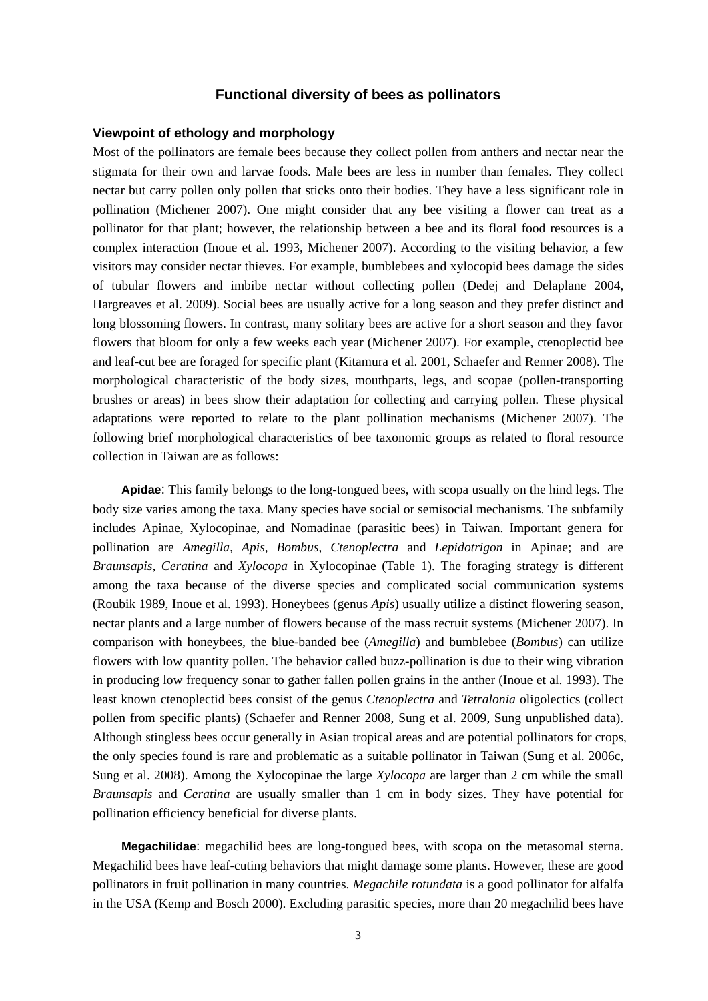### **Functional diversity of bees as pollinators**

#### **Viewpoint of ethology and morphology**

Most of the pollinators are female bees because they collect pollen from anthers and nectar near the stigmata for their own and larvae foods. Male bees are less in number than females. They collect nectar but carry pollen only pollen that sticks onto their bodies. They have a less significant role in pollination (Michener 2007). One might consider that any bee visiting a flower can treat as a pollinator for that plant; however, the relationship between a bee and its floral food resources is a complex interaction (Inoue et al. 1993, Michener 2007). According to the visiting behavior, a few visitors may consider nectar thieves. For example, bumblebees and xylocopid bees damage the sides of tubular flowers and imbibe nectar without collecting pollen (Dedej and Delaplane 2004, Hargreaves et al. 2009). Social bees are usually active for a long season and they prefer distinct and long blossoming flowers. In contrast, many solitary bees are active for a short season and they favor flowers that bloom for only a few weeks each year (Michener 2007). For example, ctenoplectid bee and leaf-cut bee are foraged for specific plant (Kitamura et al. 2001, Schaefer and Renner 2008). The morphological characteristic of the body sizes, mouthparts, legs, and scopae (pollen-transporting brushes or areas) in bees show their adaptation for collecting and carrying pollen. These physical adaptations were reported to relate to the plant pollination mechanisms (Michener 2007). The following brief morphological characteristics of bee taxonomic groups as related to floral resource collection in Taiwan are as follows:

**Apidae**: This family belongs to the long-tongued bees, with scopa usually on the hind legs. The body size varies among the taxa. Many species have social or semisocial mechanisms. The subfamily includes Apinae, Xylocopinae, and Nomadinae (parasitic bees) in Taiwan. Important genera for pollination are *Amegilla*, *Apis*, *Bombus*, *Ctenoplectra* and *Lepidotrigon* in Apinae; and are *Braunsapis*, *Ceratina* and *Xylocopa* in Xylocopinae (Table 1). The foraging strategy is different among the taxa because of the diverse species and complicated social communication systems (Roubik 1989, Inoue et al. 1993). Honeybees (genus *Apis*) usually utilize a distinct flowering season, nectar plants and a large number of flowers because of the mass recruit systems (Michener 2007). In comparison with honeybees, the blue-banded bee (*Amegilla*) and bumblebee (*Bombus*) can utilize flowers with low quantity pollen. The behavior called buzz-pollination is due to their wing vibration in producing low frequency sonar to gather fallen pollen grains in the anther (Inoue et al. 1993). The least known ctenoplectid bees consist of the genus *Ctenoplectra* and *Tetralonia* oligolectics (collect pollen from specific plants) (Schaefer and Renner 2008, Sung et al. 2009, Sung unpublished data). Although stingless bees occur generally in Asian tropical areas and are potential pollinators for crops, the only species found is rare and problematic as a suitable pollinator in Taiwan (Sung et al. 2006c, Sung et al. 2008). Among the Xylocopinae the large *Xylocopa* are larger than 2 cm while the small *Braunsapis* and *Ceratina* are usually smaller than 1 cm in body sizes. They have potential for pollination efficiency beneficial for diverse plants.

**Megachilidae**: megachilid bees are long-tongued bees, with scopa on the metasomal sterna. Megachilid bees have leaf-cuting behaviors that might damage some plants. However, these are good pollinators in fruit pollination in many countries. *Megachile rotundata* is a good pollinator for alfalfa in the USA (Kemp and Bosch 2000). Excluding parasitic species, more than 20 megachilid bees have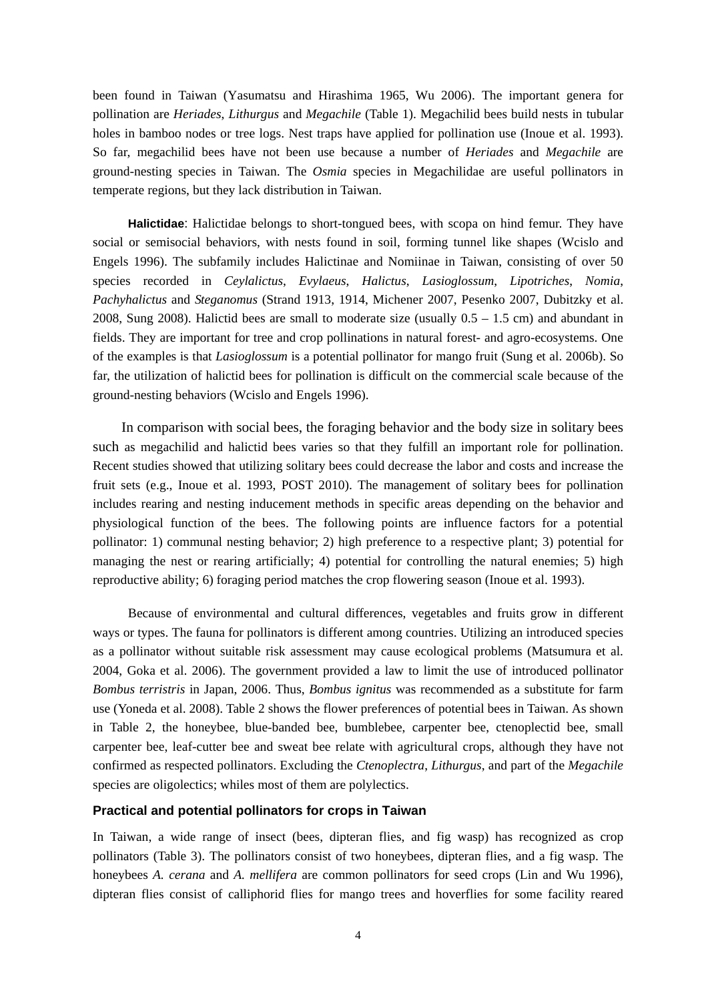been found in Taiwan (Yasumatsu and Hirashima 1965, Wu 2006). The important genera for pollination are *Heriades*, *Lithurgus* and *Megachile* (Table 1). Megachilid bees build nests in tubular holes in bamboo nodes or tree logs. Nest traps have applied for pollination use (Inoue et al. 1993). So far, megachilid bees have not been use because a number of *Heriades* and *Megachile* are ground-nesting species in Taiwan. The *Osmia* species in Megachilidae are useful pollinators in temperate regions, but they lack distribution in Taiwan.

**Halictidae**: Halictidae belongs to short-tongued bees, with scopa on hind femur. They have social or semisocial behaviors, with nests found in soil, forming tunnel like shapes (Wcislo and Engels 1996). The subfamily includes Halictinae and Nomiinae in Taiwan, consisting of over 50 species recorded in *Ceylalictus*, *Evylaeus*, *Halictus*, *Lasioglossum*, *Lipotriches*, *Nomia*, *Pachyhalictus* and *Steganomus* (Strand 1913, 1914, Michener 2007, Pesenko 2007, Dubitzky et al. 2008, Sung 2008). Halictid bees are small to moderate size (usually  $0.5 - 1.5$  cm) and abundant in fields. They are important for tree and crop pollinations in natural forest- and agro-ecosystems. One of the examples is that *Lasioglossum* is a potential pollinator for mango fruit (Sung et al. 2006b). So far, the utilization of halictid bees for pollination is difficult on the commercial scale because of the ground-nesting behaviors (Wcislo and Engels 1996).

In comparison with social bees, the foraging behavior and the body size in solitary bees such as megachilid and halictid bees varies so that they fulfill an important role for pollination. Recent studies showed that utilizing solitary bees could decrease the labor and costs and increase the fruit sets (e.g., Inoue et al. 1993, POST 2010). The management of solitary bees for pollination includes rearing and nesting inducement methods in specific areas depending on the behavior and physiological function of the bees. The following points are influence factors for a potential pollinator: 1) communal nesting behavior; 2) high preference to a respective plant; 3) potential for managing the nest or rearing artificially; 4) potential for controlling the natural enemies; 5) high reproductive ability; 6) foraging period matches the crop flowering season (Inoue et al. 1993).

 Because of environmental and cultural differences, vegetables and fruits grow in different ways or types. The fauna for pollinators is different among countries. Utilizing an introduced species as a pollinator without suitable risk assessment may cause ecological problems (Matsumura et al. 2004, Goka et al. 2006). The government provided a law to limit the use of introduced pollinator *Bombus terristris* in Japan, 2006. Thus, *Bombus ignitus* was recommended as a substitute for farm use (Yoneda et al. 2008). Table 2 shows the flower preferences of potential bees in Taiwan. As shown in Table 2, the honeybee, blue-banded bee, bumblebee, carpenter bee, ctenoplectid bee, small carpenter bee, leaf-cutter bee and sweat bee relate with agricultural crops, although they have not confirmed as respected pollinators. Excluding the *Ctenoplectra*, *Lithurgus*, and part of the *Megachile*  species are oligolectics; whiles most of them are polylectics.

#### **Practical and potential pollinators for crops in Taiwan**

In Taiwan, a wide range of insect (bees, dipteran flies, and fig wasp) has recognized as crop pollinators (Table 3). The pollinators consist of two honeybees, dipteran flies, and a fig wasp. The honeybees *A. cerana* and *A. mellifera* are common pollinators for seed crops (Lin and Wu 1996), dipteran flies consist of calliphorid flies for mango trees and hoverflies for some facility reared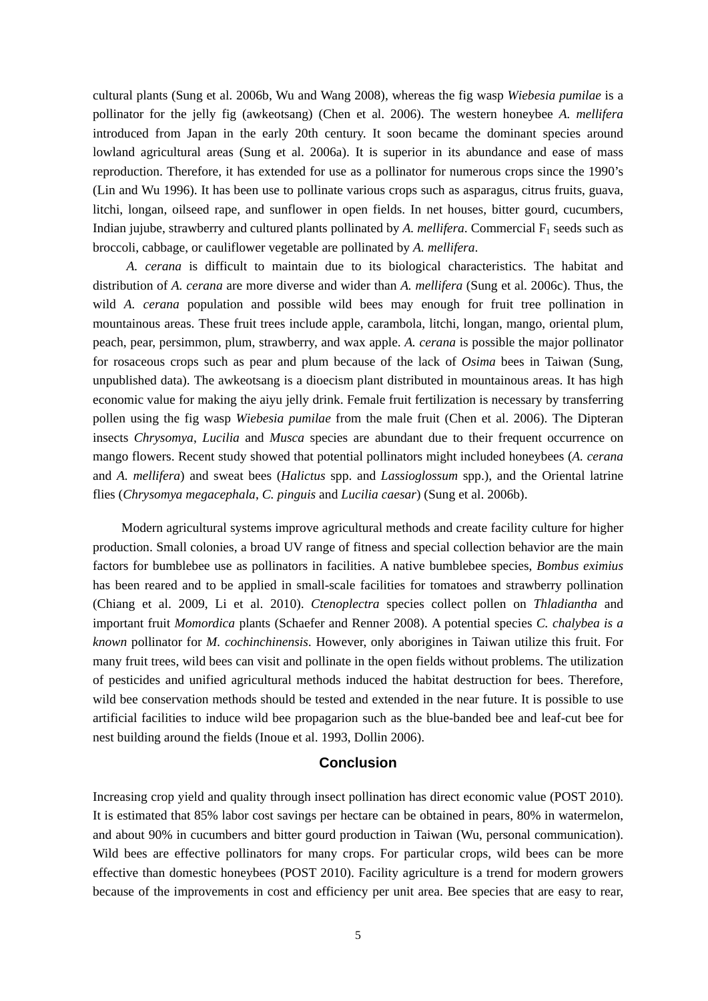cultural plants (Sung et al. 2006b, Wu and Wang 2008), whereas the fig wasp *Wiebesia pumilae* is a pollinator for the jelly fig (awkeotsang) (Chen et al. 2006). The western honeybee *A. mellifera*  introduced from Japan in the early 20th century. It soon became the dominant species around lowland agricultural areas (Sung et al. 2006a). It is superior in its abundance and ease of mass reproduction. Therefore, it has extended for use as a pollinator for numerous crops since the 1990's (Lin and Wu 1996). It has been use to pollinate various crops such as asparagus, citrus fruits, guava, litchi, longan, oilseed rape, and sunflower in open fields. In net houses, bitter gourd, cucumbers, Indian jujube, strawberry and cultured plants pollinated by *A. mellifera*. Commercial  $F_1$  seeds such as broccoli, cabbage, or cauliflower vegetable are pollinated by *A. mellifera*.

*A. cerana* is difficult to maintain due to its biological characteristics. The habitat and distribution of *A. cerana* are more diverse and wider than *A. mellifera* (Sung et al. 2006c). Thus, the wild *A. cerana* population and possible wild bees may enough for fruit tree pollination in mountainous areas. These fruit trees include apple, carambola, litchi, longan, mango, oriental plum, peach, pear, persimmon, plum, strawberry, and wax apple. *A. cerana* is possible the major pollinator for rosaceous crops such as pear and plum because of the lack of *Osima* bees in Taiwan (Sung, unpublished data). The awkeotsang is a dioecism plant distributed in mountainous areas. It has high economic value for making the aiyu jelly drink. Female fruit fertilization is necessary by transferring pollen using the fig wasp *Wiebesia pumilae* from the male fruit (Chen et al. 2006). The Dipteran insects *Chrysomya*, *Lucilia* and *Musca* species are abundant due to their frequent occurrence on mango flowers. Recent study showed that potential pollinators might included honeybees (*A. cerana*  and *A. mellifera*) and sweat bees (*Halictus* spp. and *Lassioglossum* spp.), and the Oriental latrine flies (*Chrysomya megacephala*, *C. pinguis* and *Lucilia caesar*) (Sung et al. 2006b).

Modern agricultural systems improve agricultural methods and create facility culture for higher production. Small colonies, a broad UV range of fitness and special collection behavior are the main factors for bumblebee use as pollinators in facilities. A native bumblebee species, *Bombus eximius* has been reared and to be applied in small-scale facilities for tomatoes and strawberry pollination (Chiang et al. 2009, Li et al. 2010). *Ctenoplectra* species collect pollen on *Thladiantha* and important fruit *Momordica* plants (Schaefer and Renner 2008). A potential species *C. chalybea is a known* pollinator for *M. cochinchinensis*. However, only aborigines in Taiwan utilize this fruit. For many fruit trees, wild bees can visit and pollinate in the open fields without problems. The utilization of pesticides and unified agricultural methods induced the habitat destruction for bees. Therefore, wild bee conservation methods should be tested and extended in the near future. It is possible to use artificial facilities to induce wild bee propagarion such as the blue-banded bee and leaf-cut bee for nest building around the fields (Inoue et al. 1993, Dollin 2006).

# **Conclusion**

Increasing crop yield and quality through insect pollination has direct economic value (POST 2010). It is estimated that 85% labor cost savings per hectare can be obtained in pears, 80% in watermelon, and about 90% in cucumbers and bitter gourd production in Taiwan (Wu, personal communication). Wild bees are effective pollinators for many crops. For particular crops, wild bees can be more effective than domestic honeybees (POST 2010). Facility agriculture is a trend for modern growers because of the improvements in cost and efficiency per unit area. Bee species that are easy to rear,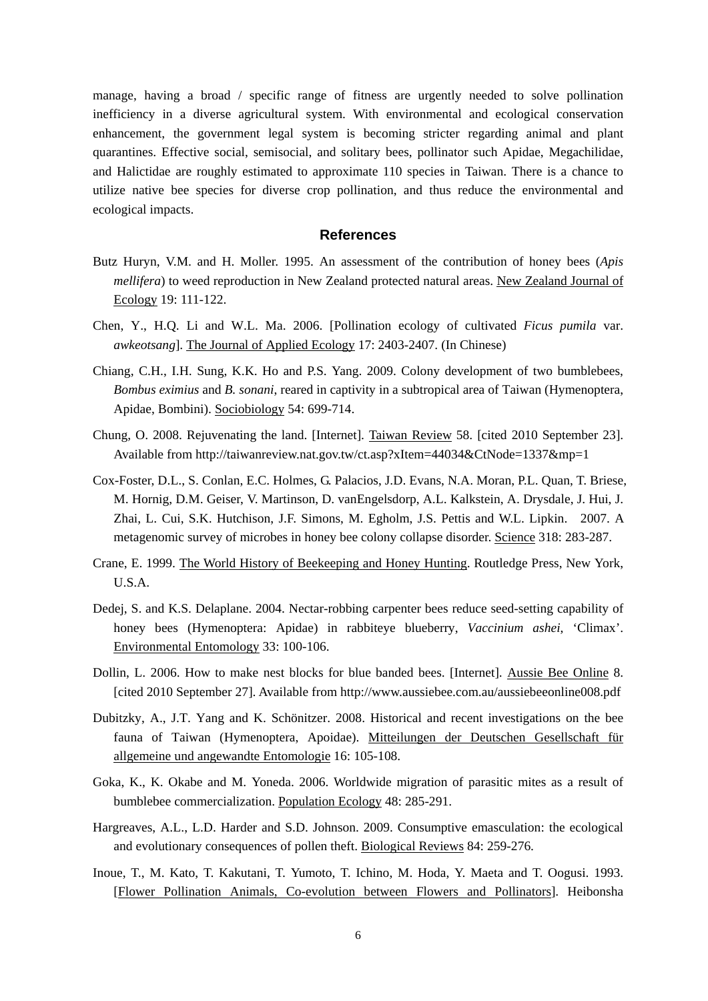manage, having a broad / specific range of fitness are urgently needed to solve pollination inefficiency in a diverse agricultural system. With environmental and ecological conservation enhancement, the government legal system is becoming stricter regarding animal and plant quarantines. Effective social, semisocial, and solitary bees, pollinator such Apidae, Megachilidae, and Halictidae are roughly estimated to approximate 110 species in Taiwan. There is a chance to utilize native bee species for diverse crop pollination, and thus reduce the environmental and ecological impacts.

# **References**

- Butz Huryn, V.M. and H. Moller. 1995. An assessment of the contribution of honey bees (*Apis mellifera*) to weed reproduction in New Zealand protected natural areas. New Zealand Journal of Ecology 19: 111-122.
- Chen, Y., H.Q. Li and W.L. Ma. 2006. [Pollination ecology of cultivated *Ficus pumila* var. *awkeotsang*]. The Journal of Applied Ecology 17: 2403-2407. (In Chinese)
- Chiang, C.H., I.H. Sung, K.K. Ho and P.S. Yang. 2009. Colony development of two bumblebees, *Bombus eximius* and *B. sonani*, reared in captivity in a subtropical area of Taiwan (Hymenoptera, Apidae, Bombini). Sociobiology 54: 699-714.
- Chung, O. 2008. Rejuvenating the land. [Internet]. Taiwan Review 58. [cited 2010 September 23]. Available from http://taiwanreview.nat.gov.tw/ct.asp?xItem=44034&CtNode=1337&mp=1
- Cox-Foster, D.L., S. Conlan, E.C. Holmes, G. Palacios, J.D. Evans, N.A. Moran, P.L. Quan, T. Briese, M. Hornig, D.M. Geiser, V. Martinson, D. vanEngelsdorp, A.L. Kalkstein, A. Drysdale, J. Hui, J. Zhai, L. Cui, S.K. Hutchison, J.F. Simons, M. Egholm, J.S. Pettis and W.L. Lipkin. 2007. A metagenomic survey of microbes in honey bee colony collapse disorder. Science 318: 283-287.
- Crane, E. 1999. The World History of Beekeeping and Honey Hunting. Routledge Press, New York, U.S.A.
- Dedej, S. and K.S. Delaplane. 2004. Nectar-robbing carpenter bees reduce seed-setting capability of honey bees (Hymenoptera: Apidae) in rabbiteye blueberry, *Vaccinium ashei*, 'Climax'. Environmental Entomology 33: 100-106.
- Dollin, L. 2006. How to make nest blocks for blue banded bees. [Internet]. Aussie Bee Online 8. [cited 2010 September 27]. Available from http://www.aussiebee.com.au/aussiebeeonline008.pdf
- Dubitzky, A., J.T. Yang and K. Schönitzer. 2008. Historical and recent investigations on the bee fauna of Taiwan (Hymenoptera, Apoidae). Mitteilungen der Deutschen Gesellschaft für allgemeine und angewandte Entomologie 16: 105-108.
- Goka, K., K. Okabe and M. Yoneda. 2006. Worldwide migration of parasitic mites as a result of bumblebee commercialization. Population Ecology 48: 285-291.
- Hargreaves, A.L., L.D. Harder and S.D. Johnson. 2009. Consumptive emasculation: the ecological and evolutionary consequences of pollen theft. Biological Reviews 84: 259-276.
- Inoue, T., M. Kato, T. Kakutani, T. Yumoto, T. Ichino, M. Hoda, Y. Maeta and T. Oogusi. 1993. [Flower Pollination Animals, Co-evolution between Flowers and Pollinators]. Heibonsha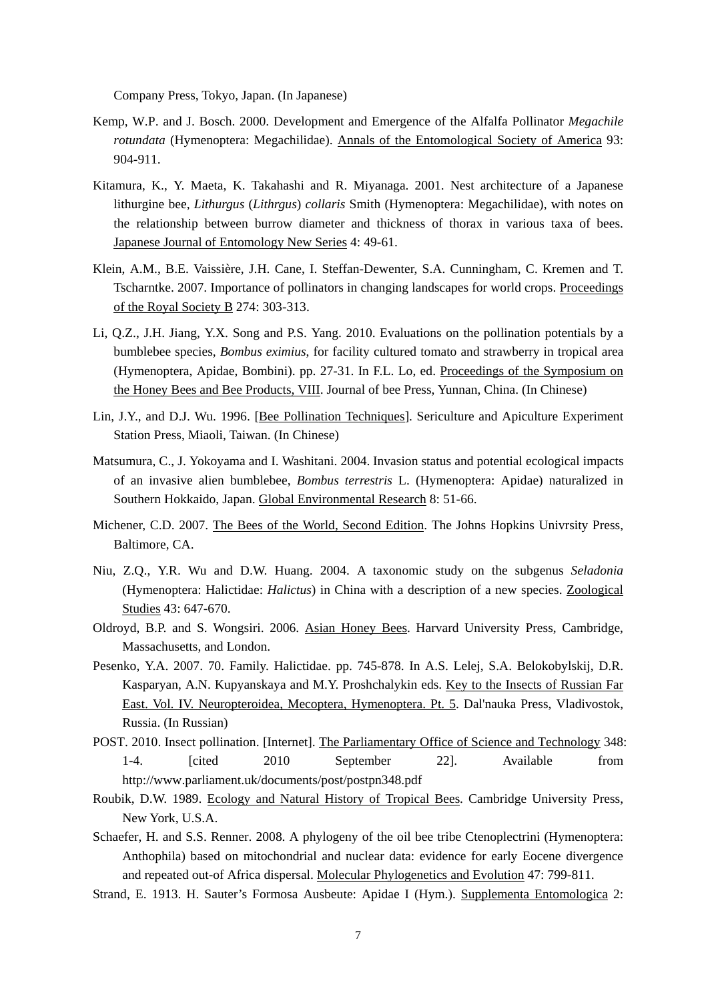Company Press, Tokyo, Japan. (In Japanese)

- Kemp, W.P. and J. Bosch. 2000. Development and Emergence of the Alfalfa Pollinator *Megachile rotundata* (Hymenoptera: Megachilidae). Annals of the Entomological Society of America 93: 904-911.
- Kitamura, K., Y. Maeta, K. Takahashi and R. Miyanaga. 2001. Nest architecture of a Japanese lithurgine bee, *Lithurgus* (*Lithrgus*) *collaris* Smith (Hymenoptera: Megachilidae), with notes on the relationship between burrow diameter and thickness of thorax in various taxa of bees. Japanese Journal of Entomology New Series 4: 49-61.
- Klein, A.M., B.E. Vaissière, J.H. Cane, I. Steffan-Dewenter, S.A. Cunningham, C. Kremen and T. Tscharntke. 2007. Importance of pollinators in changing landscapes for world crops. Proceedings of the Royal Society B 274: 303-313.
- Li, Q.Z., J.H. Jiang, Y.X. Song and P.S. Yang. 2010. Evaluations on the pollination potentials by a bumblebee species, *Bombus eximius*, for facility cultured tomato and strawberry in tropical area (Hymenoptera, Apidae, Bombini). pp. 27-31. In F.L. Lo, ed. Proceedings of the Symposium on the Honey Bees and Bee Products, VIII. Journal of bee Press, Yunnan, China. (In Chinese)
- Lin, J.Y., and D.J. Wu. 1996. [Bee Pollination Techniques]. Sericulture and Apiculture Experiment Station Press, Miaoli, Taiwan. (In Chinese)
- Matsumura, C., J. Yokoyama and I. Washitani. 2004. Invasion status and potential ecological impacts of an invasive alien bumblebee, *Bombus terrestris* L. (Hymenoptera: Apidae) naturalized in Southern Hokkaido, Japan. Global Environmental Research 8: 51-66.
- Michener, C.D. 2007. The Bees of the World, Second Edition. The Johns Hopkins Univrsity Press, Baltimore, CA.
- Niu, Z.Q., Y.R. Wu and D.W. Huang. 2004. A taxonomic study on the subgenus *Seladonia* (Hymenoptera: Halictidae: *Halictus*) in China with a description of a new species. Zoological Studies 43: 647-670.
- Oldroyd, B.P. and S. Wongsiri. 2006. Asian Honey Bees. Harvard University Press, Cambridge, Massachusetts, and London.
- Pesenko, Y.A. 2007. 70. Family. Halictidae. pp. 745-878. In A.S. Lelej, S.A. Belokobylskij, D.R. Kasparyan, A.N. Kupyanskaya and M.Y. Proshchalykin eds. Key to the Insects of Russian Far East. Vol. IV. Neuropteroidea, Mecoptera, Hymenoptera. Pt. 5. Dal'nauka Press, Vladivostok, Russia. (In Russian)
- POST. 2010. Insect pollination. [Internet]. The Parliamentary Office of Science and Technology 348: 1-4. [cited 2010 September 22]. Available from http://www.parliament.uk/documents/post/postpn348.pdf
- Roubik, D.W. 1989. Ecology and Natural History of Tropical Bees. Cambridge University Press, New York, U.S.A.
- Schaefer, H. and S.S. Renner. 2008. A phylogeny of the oil bee tribe Ctenoplectrini (Hymenoptera: Anthophila) based on mitochondrial and nuclear data: evidence for early Eocene divergence and repeated out-of Africa dispersal. Molecular Phylogenetics and Evolution 47: 799-811.
- Strand, E. 1913. H. Sauter's Formosa Ausbeute: Apidae I (Hym.). Supplementa Entomologica 2: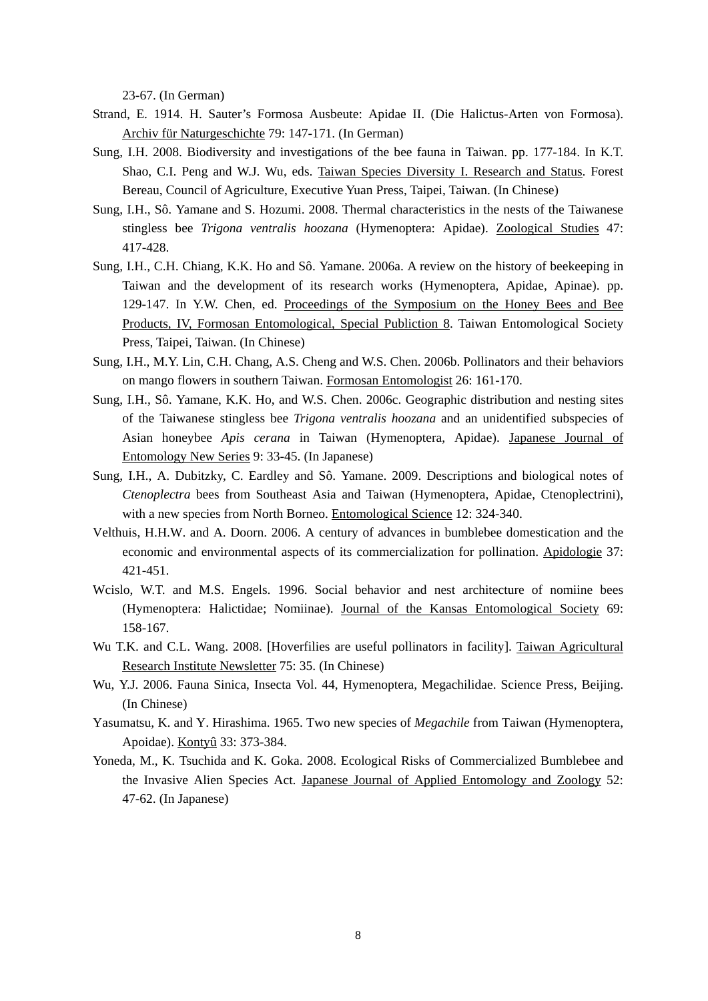23-67. (In German)

- Strand, E. 1914. H. Sauter's Formosa Ausbeute: Apidae II. (Die Halictus-Arten von Formosa). Archiv für Naturgeschichte 79: 147-171. (In German)
- Sung, I.H. 2008. Biodiversity and investigations of the bee fauna in Taiwan. pp. 177-184. In K.T. Shao, C.I. Peng and W.J. Wu, eds. Taiwan Species Diversity I. Research and Status. Forest Bereau, Council of Agriculture, Executive Yuan Press, Taipei, Taiwan. (In Chinese)
- Sung, I.H., Sô. Yamane and S. Hozumi. 2008. Thermal characteristics in the nests of the Taiwanese stingless bee *Trigona ventralis hoozana* (Hymenoptera: Apidae). Zoological Studies 47: 417-428.
- Sung, I.H., C.H. Chiang, K.K. Ho and Sô. Yamane. 2006a. A review on the history of beekeeping in Taiwan and the development of its research works (Hymenoptera, Apidae, Apinae). pp. 129-147. In Y.W. Chen, ed. Proceedings of the Symposium on the Honey Bees and Bee Products, IV, Formosan Entomological, Special Publiction 8. Taiwan Entomological Society Press, Taipei, Taiwan. (In Chinese)
- Sung, I.H., M.Y. Lin, C.H. Chang, A.S. Cheng and W.S. Chen. 2006b. Pollinators and their behaviors on mango flowers in southern Taiwan. Formosan Entomologist 26: 161-170.
- Sung, I.H., Sô. Yamane, K.K. Ho, and W.S. Chen. 2006c. Geographic distribution and nesting sites of the Taiwanese stingless bee *Trigona ventralis hoozana* and an unidentified subspecies of Asian honeybee *Apis cerana* in Taiwan (Hymenoptera, Apidae). Japanese Journal of Entomology New Series 9: 33-45. (In Japanese)
- Sung, I.H., A. Dubitzky, C. Eardley and Sô. Yamane. 2009. Descriptions and biological notes of *Ctenoplectra* bees from Southeast Asia and Taiwan (Hymenoptera, Apidae, Ctenoplectrini), with a new species from North Borneo. Entomological Science 12: 324-340.
- Velthuis, H.H.W. and A. Doorn. 2006. A century of advances in bumblebee domestication and the economic and environmental aspects of its commercialization for pollination. Apidologie 37: 421-451.
- Wcislo, W.T. and M.S. Engels. 1996. Social behavior and nest architecture of nomiine bees (Hymenoptera: Halictidae; Nomiinae). Journal of the Kansas Entomological Society 69: 158-167.
- Wu T.K. and C.L. Wang. 2008. [Hoverfilies are useful pollinators in facility]. Taiwan Agricultural Research Institute Newsletter 75: 35. (In Chinese)
- Wu, Y.J. 2006. Fauna Sinica, Insecta Vol. 44, Hymenoptera, Megachilidae. Science Press, Beijing. (In Chinese)
- Yasumatsu, K. and Y. Hirashima. 1965. Two new species of *Megachile* from Taiwan (Hymenoptera, Apoidae). Kontyû 33: 373-384.
- Yoneda, M., K. Tsuchida and K. Goka. 2008. Ecological Risks of Commercialized Bumblebee and the Invasive Alien Species Act. Japanese Journal of Applied Entomology and Zoology 52: 47-62. (In Japanese)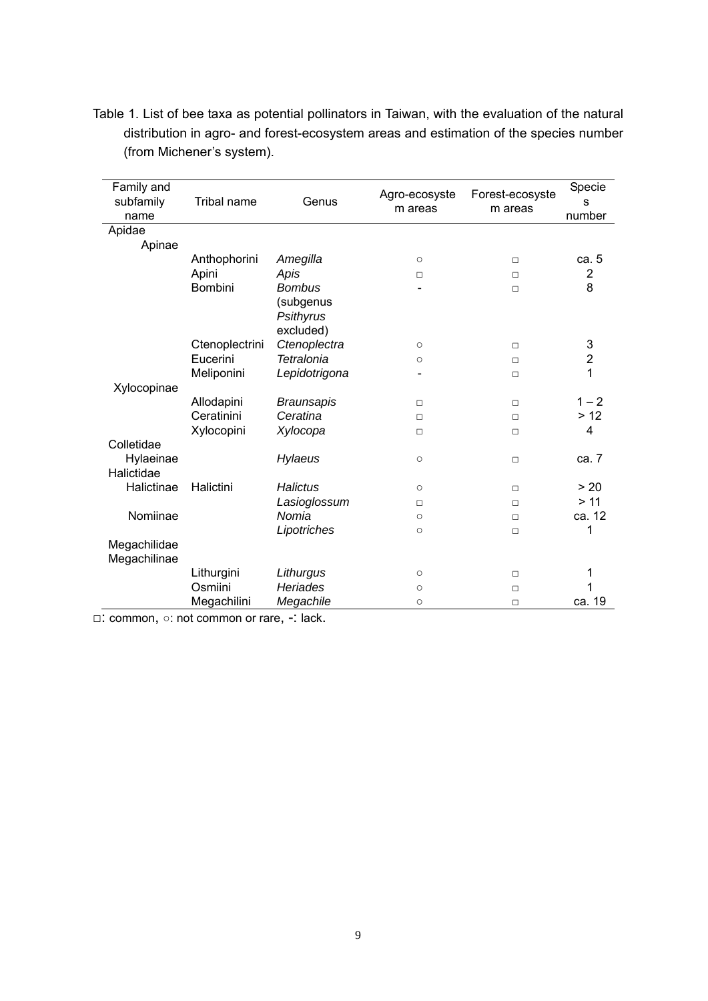| Family and<br>subfamily<br>name | <b>Tribal name</b> | Genus             | Agro-ecosyste<br>m areas | Forest-ecosyste<br>m areas | Specie<br>S<br>number |
|---------------------------------|--------------------|-------------------|--------------------------|----------------------------|-----------------------|
| Apidae                          |                    |                   |                          |                            |                       |
| Apinae                          |                    |                   |                          |                            |                       |
|                                 | Anthophorini       | Amegilla          | $\circ$                  | $\Box$                     | ca. 5                 |
|                                 | Apini              | Apis              | $\Box$                   | $\Box$                     | $\overline{2}$        |
|                                 | Bombini            | <b>Bombus</b>     |                          | $\Box$                     | 8                     |
|                                 |                    | (subgenus         |                          |                            |                       |
|                                 |                    | Psithyrus         |                          |                            |                       |
|                                 |                    | excluded)         |                          |                            |                       |
|                                 | Ctenoplectrini     | Ctenoplectra      | $\circ$                  | $\Box$                     | 3                     |
|                                 | Eucerini           | Tetralonia        | $\circ$                  | $\Box$                     | $\overline{c}$        |
|                                 | Meliponini         | Lepidotrigona     |                          | $\Box$                     | 1                     |
| Xylocopinae                     |                    |                   |                          |                            |                       |
|                                 | Allodapini         | <b>Braunsapis</b> | $\Box$                   | $\Box$                     | $1 - 2$               |
|                                 | Ceratinini         | Ceratina          | $\Box$                   | $\Box$                     | $>12$                 |
|                                 | Xylocopini         | Xylocopa          | $\Box$                   | $\Box$                     | 4                     |
| Colletidae                      |                    |                   |                          |                            |                       |
| Hylaeinae                       |                    | Hylaeus           | $\circ$                  | $\Box$                     | ca. 7                 |
| Halictidae                      |                    |                   |                          |                            |                       |
| Halictinae                      | Halictini          | <b>Halictus</b>   | $\circ$                  | $\Box$                     | > 20                  |
|                                 |                    | Lasioglossum      | $\Box$                   | $\Box$                     | $>11$                 |
| Nomiinae                        |                    | Nomia             | $\circ$                  | $\Box$                     | ca. 12                |
|                                 |                    | Lipotriches       | $\circ$                  | $\Box$                     | 1                     |
| Megachilidae<br>Megachilinae    |                    |                   |                          |                            |                       |
|                                 | Lithurgini         | Lithurgus         | $\circ$                  | $\Box$                     | 1                     |
|                                 | Osmiini            | <b>Heriades</b>   | $\circ$                  | $\Box$                     | 1                     |
|                                 | Megachilini        | Megachile         | $\circ$                  | $\Box$                     | ca. 19                |

Table 1. List of bee taxa as potential pollinators in Taiwan, with the evaluation of the natural distribution in agro- and forest-ecosystem areas and estimation of the species number (from Michener's system).

□: common, ○: not common or rare, -: lack.